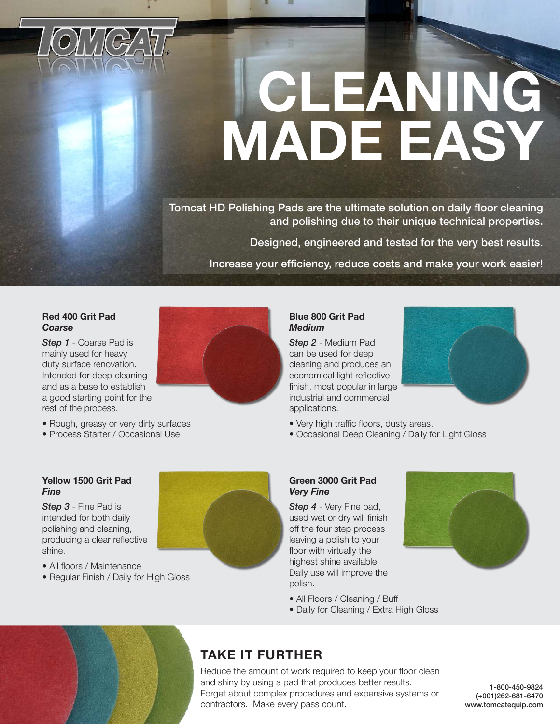

# **CLEANING MADE EASY**

Tomcat HD Polishing Pads are the ultimate solution on daily floor cleaning and polishing due to their unique technical properties.

Designed, engineered and tested for the very best results.

Increase your efficiency, reduce costs and make your work easier!

#### **Red 400 Grit Pad**  *Coarse*

*Step 1* - Coarse Pad is mainly used for heavy duty surface renovation. Intended for deep cleaning and as a base to establish a good starting point for the rest of the process.

- Rough, greasy or very dirty surfaces
- Process Starter / Occasional Use

#### **Blue 800 Grit Pad**  *Medium*

*Step 2* - Medium Pad can be used for deep cleaning and produces an economical light reflective finish, most popular in large industrial and commercial applications.



- Very high traffic floors, dusty areas.
- Occasional Deep Cleaning / Daily for Light Gloss

#### **Yellow 1500 Grit Pad**  *Fine*

*Step 3* - Fine Pad is intended for both daily polishing and cleaning, producing a clear reflective shine.

- All floors / Maintenance
- Regular Finish / Daily for High Gloss



#### **Green 3000 Grit Pad**  *Very Fine*

*Step 4* - Very Fine pad, used wet or dry will finish off the four step process leaving a polish to your floor with virtually the highest shine available. Daily use will improve the polish.



- All Floors / Cleaning / Buff
- Daily for Cleaning / Extra High Gloss

### **TAKE IT FURTHER**

Reduce the amount of work required to keep your floor clean and shiny by using a pad that produces better results. Forget about complex procedures and expensive systems or contractors. Make every pass count.

1-800-450-9824 (+001)262-681-6470 www.tomcatequip.com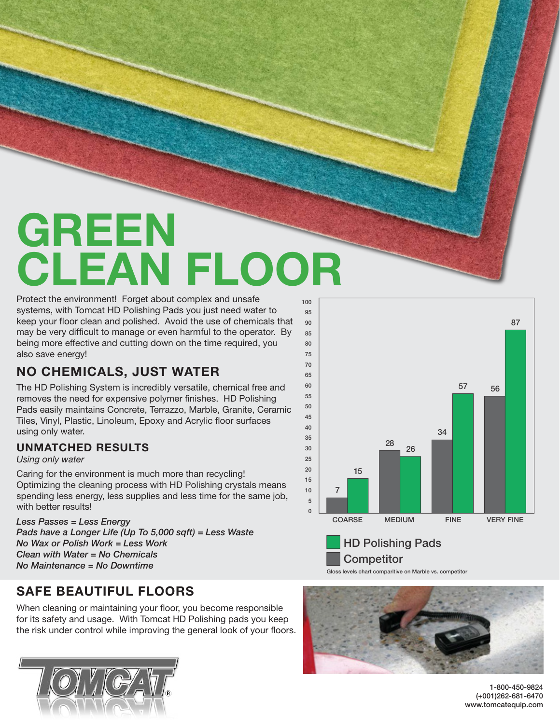## **GREEN CLEAN FLOOR**

Protect the environment! Forget about complex and unsafe systems, with Tomcat HD Polishing Pads you just need water to keep your floor clean and polished. Avoid the use of chemicals that may be very difficult to manage or even harmful to the operator. By being more effective and cutting down on the time required, you also save energy!

### **NO CHEMICALS, JUST WATER**

The HD Polishing System is incredibly versatile, chemical free and removes the need for expensive polymer finishes. HD Polishing Pads easily maintains Concrete, Terrazzo, Marble, Granite, Ceramic Tiles, Vinyl, Plastic, Linoleum, Epoxy and Acrylic floor surfaces using only water.

#### **UNMATCHED RESULTS**

*Using only water*

Caring for the environment is much more than recycling! Optimizing the cleaning process with HD Polishing crystals means spending less energy, less supplies and less time for the same job, with better results!

*Less Passes = Less Energy Pads have a Longer Life (Up To 5,000 sqft) = Less Waste No Wax or Polish Work = Less Work Clean with Water = No Chemicals No Maintenance = No Downtime*

### **SAFE BEAUTIFUL FLOORS**

When cleaning or maintaining your floor, you become responsible for its safety and usage. With Tomcat HD Polishing pads you keep the risk under control while improving the general look of your floors.







**Competitor** 

Gloss levels chart comparitive on Marble vs. competitor

1-800-450-9824 (+001)262-681-6470 www.tomcatequip.com